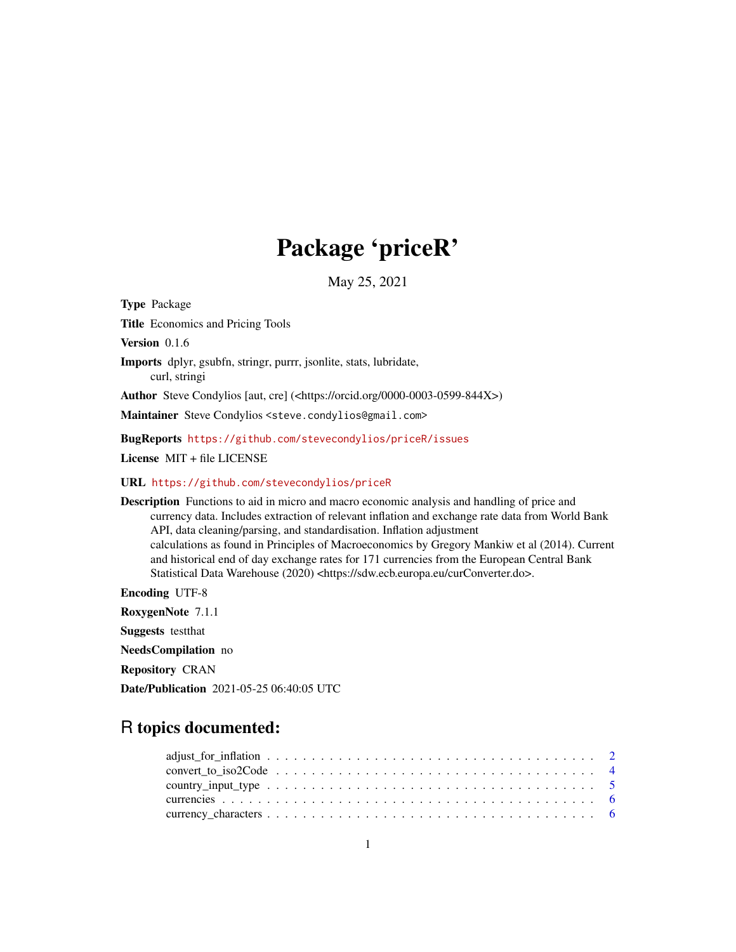# Package 'priceR'

May 25, 2021

Type Package

Title Economics and Pricing Tools

Version 0.1.6

Imports dplyr, gsubfn, stringr, purrr, jsonlite, stats, lubridate, curl, stringi

Author Steve Condylios [aut, cre] (<https://orcid.org/0000-0003-0599-844X>)

Maintainer Steve Condylios <steve.condylios@gmail.com>

BugReports <https://github.com/stevecondylios/priceR/issues>

License MIT + file LICENSE

URL <https://github.com/stevecondylios/priceR>

Description Functions to aid in micro and macro economic analysis and handling of price and currency data. Includes extraction of relevant inflation and exchange rate data from World Bank API, data cleaning/parsing, and standardisation. Inflation adjustment calculations as found in Principles of Macroeconomics by Gregory Mankiw et al (2014). Current and historical end of day exchange rates for 171 currencies from the European Central Bank Statistical Data Warehouse (2020) <https://sdw.ecb.europa.eu/curConverter.do>.

Encoding UTF-8 RoxygenNote 7.1.1 Suggests testthat NeedsCompilation no Repository CRAN Date/Publication 2021-05-25 06:40:05 UTC

## R topics documented:

| $convert\_to\_iso2Code \ldots \ldots \ldots \ldots \ldots \ldots \ldots \ldots \ldots \ldots \ldots$ |  |  |  |  |  |  |  |  |  |  |  |  |  |  |  |  |  |
|------------------------------------------------------------------------------------------------------|--|--|--|--|--|--|--|--|--|--|--|--|--|--|--|--|--|
|                                                                                                      |  |  |  |  |  |  |  |  |  |  |  |  |  |  |  |  |  |
|                                                                                                      |  |  |  |  |  |  |  |  |  |  |  |  |  |  |  |  |  |
|                                                                                                      |  |  |  |  |  |  |  |  |  |  |  |  |  |  |  |  |  |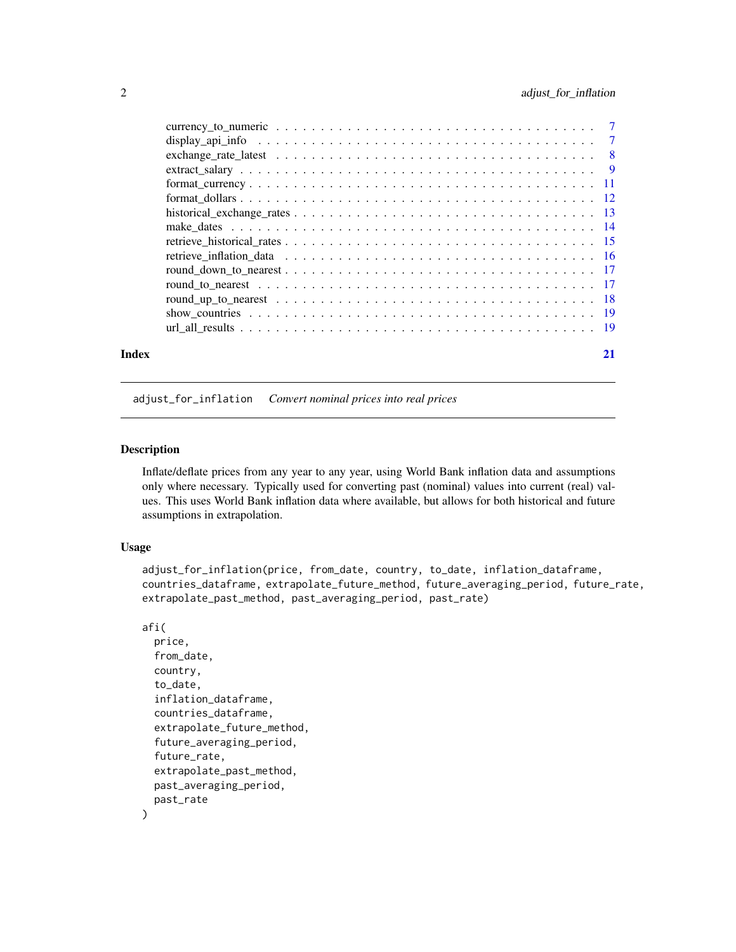<span id="page-1-0"></span>

|       | $format\_currency \ldots \ldots \ldots \ldots \ldots \ldots \ldots \ldots \ldots \ldots \ldots \ldots \ldots 11$ |    |
|-------|------------------------------------------------------------------------------------------------------------------|----|
|       |                                                                                                                  |    |
|       |                                                                                                                  |    |
|       |                                                                                                                  |    |
|       |                                                                                                                  |    |
|       |                                                                                                                  |    |
|       |                                                                                                                  |    |
|       |                                                                                                                  |    |
|       |                                                                                                                  |    |
|       |                                                                                                                  |    |
|       |                                                                                                                  |    |
| Index |                                                                                                                  | 21 |

## adjust\_for\_inflation *Convert nominal prices into real prices*

#### Description

Inflate/deflate prices from any year to any year, using World Bank inflation data and assumptions only where necessary. Typically used for converting past (nominal) values into current (real) values. This uses World Bank inflation data where available, but allows for both historical and future assumptions in extrapolation.

#### Usage

```
adjust_for_inflation(price, from_date, country, to_date, inflation_dataframe,
countries_dataframe, extrapolate_future_method, future_averaging_period, future_rate,
extrapolate_past_method, past_averaging_period, past_rate)
```
#### afi(

)

```
price,
from_date,
country,
to_date,
inflation_dataframe,
countries_dataframe,
extrapolate_future_method,
future_averaging_period,
future_rate,
extrapolate_past_method,
past_averaging_period,
past_rate
```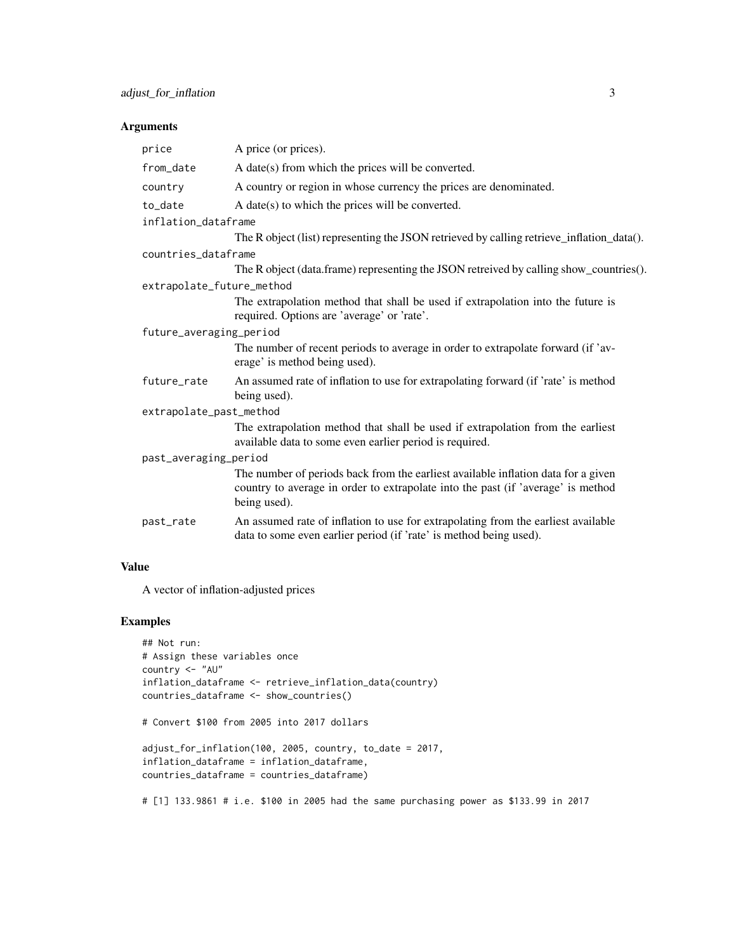## Arguments

| price                     | A price (or prices).                                                                                                                                                                  |
|---------------------------|---------------------------------------------------------------------------------------------------------------------------------------------------------------------------------------|
| from_date                 | A date(s) from which the prices will be converted.                                                                                                                                    |
| country                   | A country or region in whose currency the prices are denominated.                                                                                                                     |
| to_date                   | A date(s) to which the prices will be converted.                                                                                                                                      |
| inflation_dataframe       |                                                                                                                                                                                       |
|                           | The R object (list) representing the JSON retrieved by calling retrieve_inflation_data().                                                                                             |
| countries_dataframe       |                                                                                                                                                                                       |
|                           | The R object (data.frame) representing the JSON retreived by calling show_countries().                                                                                                |
| extrapolate_future_method |                                                                                                                                                                                       |
|                           | The extrapolation method that shall be used if extrapolation into the future is<br>required. Options are 'average' or 'rate'.                                                         |
| future_averaging_period   |                                                                                                                                                                                       |
|                           | The number of recent periods to average in order to extrapolate forward (if 'av-<br>erage' is method being used).                                                                     |
| future_rate               | An assumed rate of inflation to use for extrapolating forward (if 'rate' is method<br>being used).                                                                                    |
| extrapolate_past_method   |                                                                                                                                                                                       |
|                           | The extrapolation method that shall be used if extrapolation from the earliest<br>available data to some even earlier period is required.                                             |
| past_averaging_period     |                                                                                                                                                                                       |
|                           | The number of periods back from the earliest available inflation data for a given<br>country to average in order to extrapolate into the past (if 'average' is method<br>being used). |
| past_rate                 | An assumed rate of inflation to use for extrapolating from the earliest available<br>data to some even earlier period (if 'rate' is method being used).                               |
|                           |                                                                                                                                                                                       |

## Value

A vector of inflation-adjusted prices

## Examples

```
## Not run:
# Assign these variables once
country <- "AU"
inflation_dataframe <- retrieve_inflation_data(country)
countries_dataframe <- show_countries()
# Convert $100 from 2005 into 2017 dollars
adjust_for_inflation(100, 2005, country, to_date = 2017,
inflation_dataframe = inflation_dataframe,
countries_dataframe = countries_dataframe)
```
# [1] 133.9861 # i.e. \$100 in 2005 had the same purchasing power as \$133.99 in 2017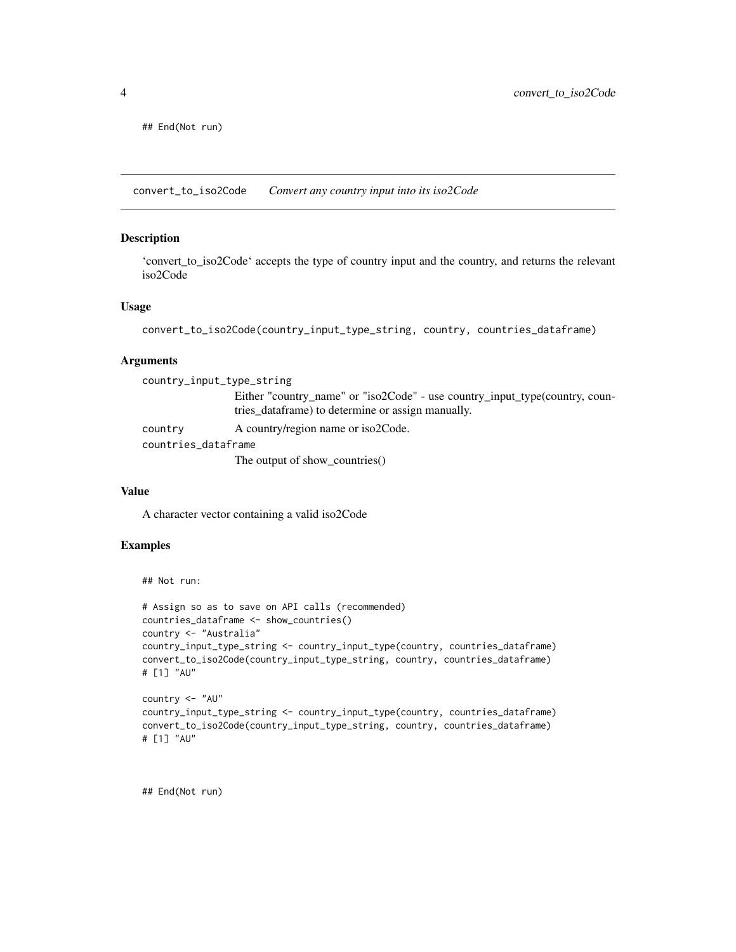<span id="page-3-0"></span>## End(Not run)

convert\_to\_iso2Code *Convert any country input into its iso2Code*

## Description

'convert\_to\_iso2Code' accepts the type of country input and the country, and returns the relevant iso2Code

#### Usage

```
convert_to_iso2Code(country_input_type_string, country, countries_dataframe)
```
#### Arguments

| country_input_type_string |                                                                             |
|---------------------------|-----------------------------------------------------------------------------|
|                           | Either "country_name" or "iso2Code" - use country_input_type(country, coun- |
|                           | tries_dataframe) to determine or assign manually.                           |
| country                   | A country/region name or iso2Code.                                          |
| countries_dataframe       |                                                                             |
|                           | The output of show_countries()                                              |

#### Value

A character vector containing a valid iso2Code

#### Examples

```
## Not run:
```

```
# Assign so as to save on API calls (recommended)
countries_dataframe <- show_countries()
country <- "Australia"
country_input_type_string <- country_input_type(country, countries_dataframe)
convert_to_iso2Code(country_input_type_string, country, countries_dataframe)
# [1] "AU"
```

```
country <- "AU"
country_input_type_string <- country_input_type(country, countries_dataframe)
convert_to_iso2Code(country_input_type_string, country, countries_dataframe)
# [1] "AU"
```
## End(Not run)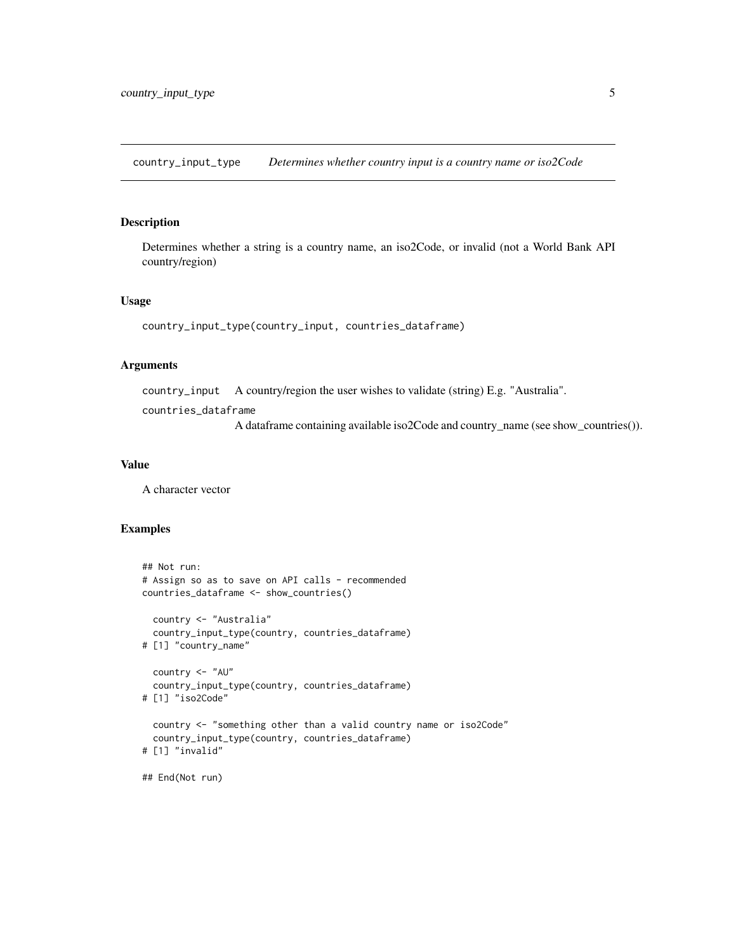<span id="page-4-0"></span>country\_input\_type *Determines whether country input is a country name or iso2Code*

#### Description

Determines whether a string is a country name, an iso2Code, or invalid (not a World Bank API country/region)

#### Usage

```
country_input_type(country_input, countries_dataframe)
```
## Arguments

country\_input A country/region the user wishes to validate (string) E.g. "Australia".

countries\_dataframe

A dataframe containing available iso2Code and country\_name (see show\_countries()).

## Value

A character vector

```
## Not run:
# Assign so as to save on API calls - recommended
countries_dataframe <- show_countries()
 country <- "Australia"
 country_input_type(country, countries_dataframe)
# [1] "country_name"
 country <- "AU"
 country_input_type(country, countries_dataframe)
# [1] "iso2Code"
 country <- "something other than a valid country name or iso2Code"
 country_input_type(country, countries_dataframe)
# [1] "invalid"
## End(Not run)
```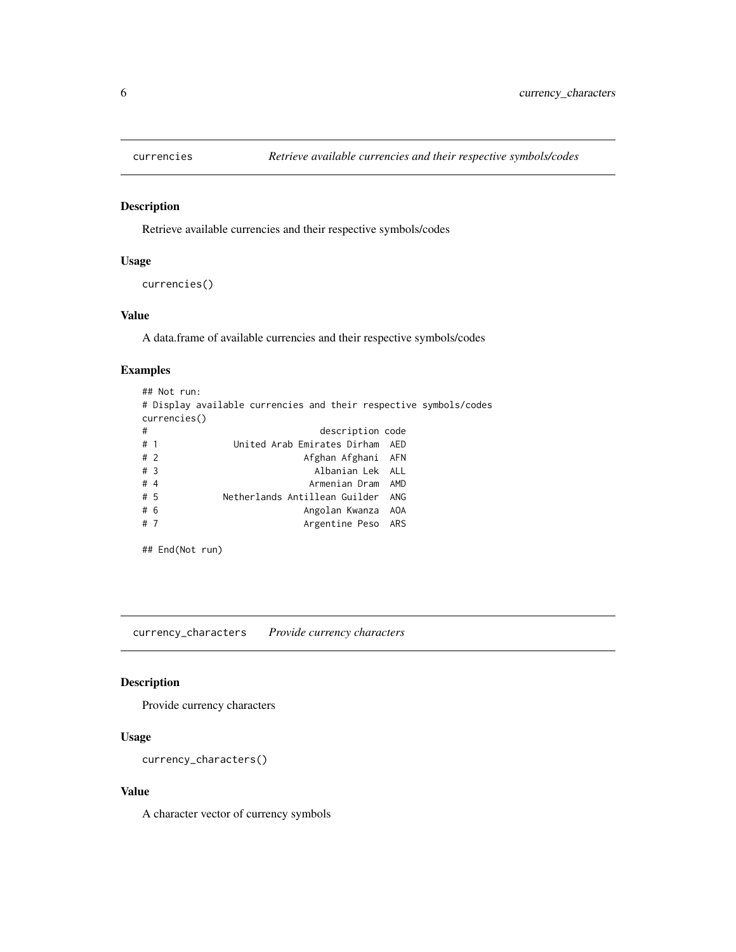<span id="page-5-0"></span>

## Description

Retrieve available currencies and their respective symbols/codes

#### Usage

```
currencies()
```
## Value

A data.frame of available currencies and their respective symbols/codes

## Examples

```
## Not run:
# Display available currencies and their respective symbols/codes
currencies()
# description code
# 1 United Arab Emirates Dirham AED
# 2 Afghan Afghani AFN
# 3 Albanian Lek ALL
# 4 Armenian Dram AMD
         Netherlands Antillean Guilder ANG
# 6 Angolan Kwanza AOA
# 7 Argentine Peso ARS
```
## End(Not run)

currency\_characters *Provide currency characters*

## Description

Provide currency characters

## Usage

```
currency_characters()
```
#### Value

A character vector of currency symbols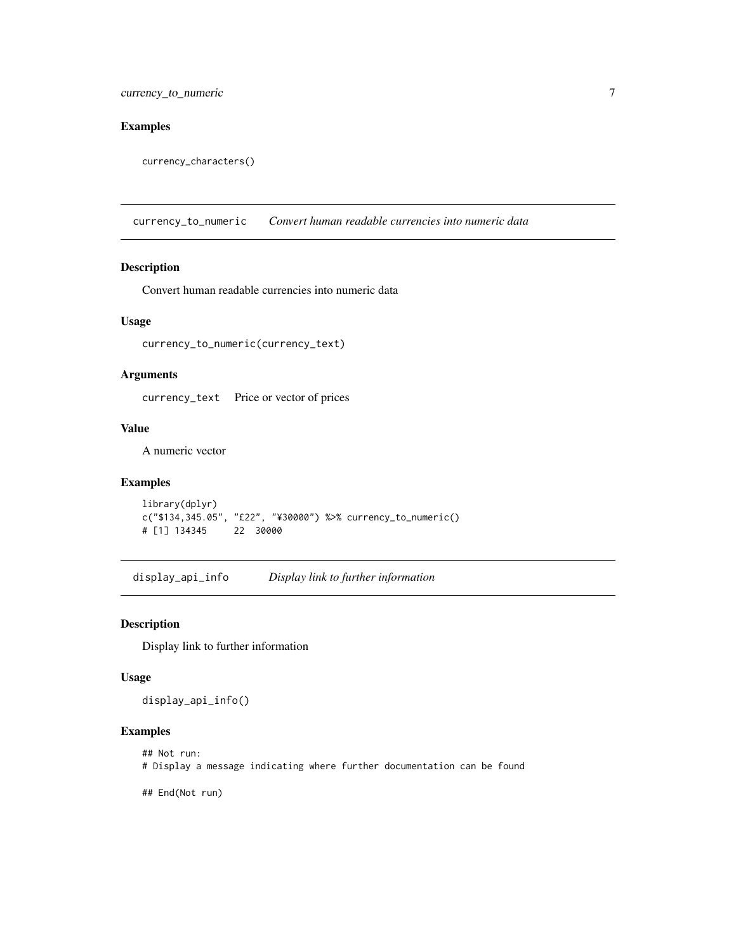## <span id="page-6-0"></span>Examples

currency\_characters()

currency\_to\_numeric *Convert human readable currencies into numeric data*

#### Description

Convert human readable currencies into numeric data

## Usage

currency\_to\_numeric(currency\_text)

#### Arguments

currency\_text Price or vector of prices

## Value

A numeric vector

## Examples

```
library(dplyr)
c("$134,345.05", "£22", "¥30000") %>% currency_to_numeric()
# [1] 134345 22 30000
```
display\_api\_info *Display link to further information*

#### Description

Display link to further information

#### Usage

display\_api\_info()

```
## Not run:
# Display a message indicating where further documentation can be found
```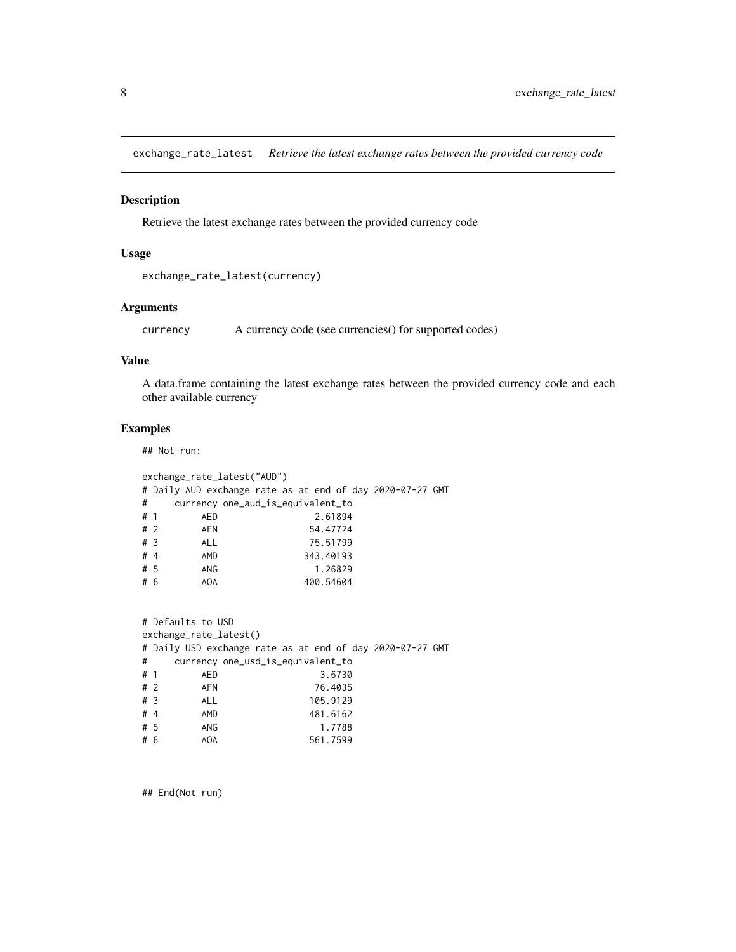<span id="page-7-0"></span>exchange\_rate\_latest *Retrieve the latest exchange rates between the provided currency code*

## Description

Retrieve the latest exchange rates between the provided currency code

## Usage

```
exchange_rate_latest(currency)
```
## Arguments

currency A currency code (see currencies() for supported codes)

#### Value

A data.frame containing the latest exchange rates between the provided currency code and each other available currency

## Examples

## Not run:

|    | exchange_rate_latest("AUD") |            |                                                           |  |  |  |  |  |
|----|-----------------------------|------------|-----------------------------------------------------------|--|--|--|--|--|
|    |                             |            | # Daily AUD exchange rate as at end of day 2020–07–27 GMT |  |  |  |  |  |
| #  |                             |            | currency one_aud_is_equivalent_to                         |  |  |  |  |  |
| #1 |                             | AED        | 2.61894                                                   |  |  |  |  |  |
|    | # 2                         | AFN        | 54.47724                                                  |  |  |  |  |  |
|    | #3                          | <b>ALL</b> | 75.51799                                                  |  |  |  |  |  |
|    | #4                          | AMD        | 343.40193                                                 |  |  |  |  |  |
|    | #5                          | ANG        | 1.26829                                                   |  |  |  |  |  |
|    | #6                          | AOA        | 400.54604                                                 |  |  |  |  |  |
|    |                             |            |                                                           |  |  |  |  |  |

|    |                        | # Defaults to USD |                                                           |  |  |  |  |
|----|------------------------|-------------------|-----------------------------------------------------------|--|--|--|--|
|    | exchange_rate_latest() |                   |                                                           |  |  |  |  |
|    |                        |                   | # Daily USD exchange rate as at end of day 2020-07-27 GMT |  |  |  |  |
| #  |                        |                   | currency one_usd_is_equivalent_to                         |  |  |  |  |
|    | #1                     | AED               | 3.6730                                                    |  |  |  |  |
|    | #2                     | <b>AFN</b>        | 76.4035                                                   |  |  |  |  |
|    | #3                     | <b>ALL</b>        | 105.9129                                                  |  |  |  |  |
| #4 |                        | AMD               | 481.6162                                                  |  |  |  |  |
|    | #5                     | ANG               | 1.7788                                                    |  |  |  |  |
|    | #6                     | AOA               | 561.7599                                                  |  |  |  |  |

## End(Not run)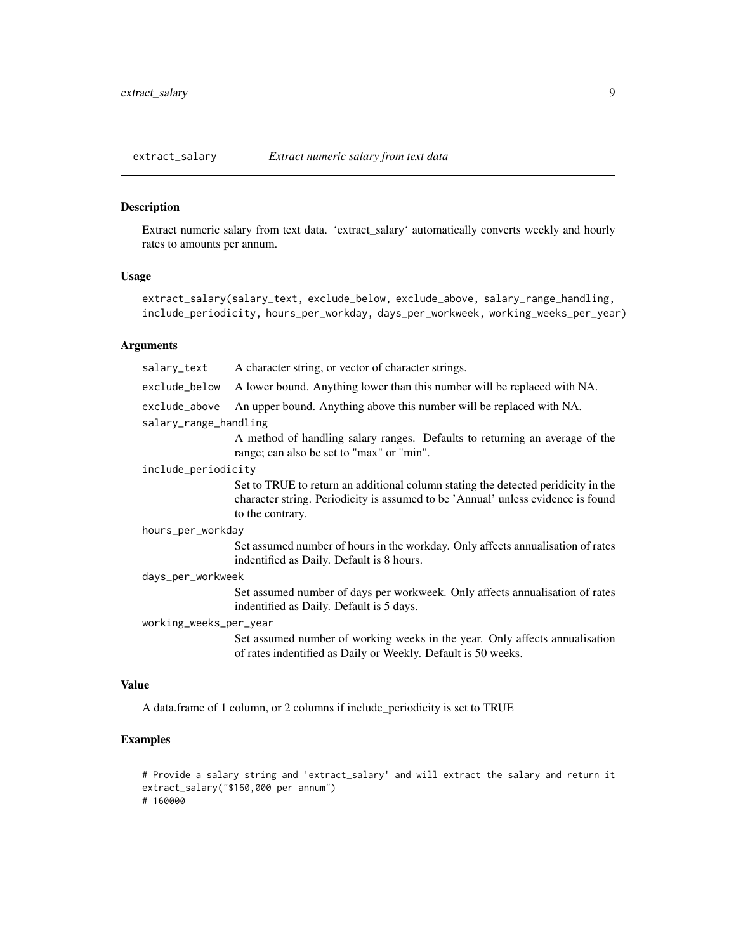<span id="page-8-0"></span>

## Description

Extract numeric salary from text data. 'extract\_salary' automatically converts weekly and hourly rates to amounts per annum.

## Usage

extract\_salary(salary\_text, exclude\_below, exclude\_above, salary\_range\_handling, include\_periodicity, hours\_per\_workday, days\_per\_workweek, working\_weeks\_per\_year)

## Arguments

| salary_text            | A character string, or vector of character strings.                                                                                                                                       |
|------------------------|-------------------------------------------------------------------------------------------------------------------------------------------------------------------------------------------|
| exclude_below          | A lower bound. Anything lower than this number will be replaced with NA.                                                                                                                  |
| exclude_above          | An upper bound. Anything above this number will be replaced with NA.                                                                                                                      |
| salary_range_handling  |                                                                                                                                                                                           |
|                        | A method of handling salary ranges. Defaults to returning an average of the<br>range; can also be set to "max" or "min".                                                                  |
| include_periodicity    |                                                                                                                                                                                           |
|                        | Set to TRUE to return an additional column stating the detected peridicity in the<br>character string. Periodicity is assumed to be 'Annual' unless evidence is found<br>to the contrary. |
| hours_per_workday      |                                                                                                                                                                                           |
|                        | Set assumed number of hours in the workday. Only affects annualisation of rates<br>indentified as Daily. Default is 8 hours.                                                              |
| days_per_workweek      |                                                                                                                                                                                           |
|                        | Set assumed number of days per workweek. Only affects annualisation of rates<br>indentified as Daily. Default is 5 days.                                                                  |
| working_weeks_per_year |                                                                                                                                                                                           |
|                        | Set assumed number of working weeks in the year. Only affects annualisation<br>of rates indentified as Daily or Weekly. Default is 50 weeks.                                              |
| Value                  |                                                                                                                                                                                           |

A data.frame of 1 column, or 2 columns if include\_periodicity is set to TRUE

```
# Provide a salary string and 'extract_salary' and will extract the salary and return it
extract_salary("$160,000 per annum")
# 160000
```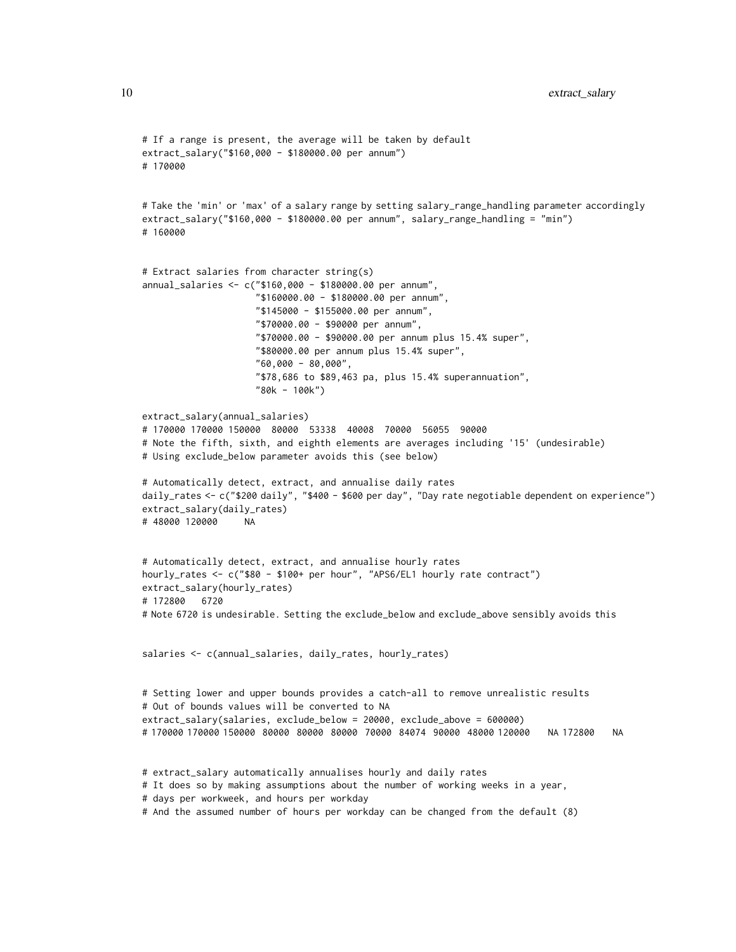```
# If a range is present, the average will be taken by default
extract_salary("$160,000 - $180000.00 per annum")
# 170000
# Take the 'min' or 'max' of a salary range by setting salary_range_handling parameter accordingly
extract_salary("$160,000 - $180000.00 per annum", salary_range_handling = "min")
# 160000
# Extract salaries from character string(s)
annual_salaries <- c("$160,000 - $180000.00 per annum",
                     "$160000.00 - $180000.00 per annum",
                     "$145000 - $155000.00 per annum",
                     "$70000.00 - $90000 per annum",
                     "$70000.00 - $90000.00 per annum plus 15.4% super",
                     "$80000.00 per annum plus 15.4% super",
                     "60,000 - 80,000",
                     "$78,686 to $89,463 pa, plus 15.4% superannuation",
                     "80k - 100k")
extract_salary(annual_salaries)
# 170000 170000 150000 80000 53338 40008 70000 56055 90000
# Note the fifth, sixth, and eighth elements are averages including '15' (undesirable)
# Using exclude_below parameter avoids this (see below)
# Automatically detect, extract, and annualise daily rates
daily_rates <- c("$200 daily", "$400 - $600 per day", "Day rate negotiable dependent on experience")
extract_salary(daily_rates)
# 48000 120000 NA
# Automatically detect, extract, and annualise hourly rates
hourly_rates <- c("$80 - $100+ per hour", "APS6/EL1 hourly rate contract")
extract_salary(hourly_rates)
# 172800 6720
# Note 6720 is undesirable. Setting the exclude_below and exclude_above sensibly avoids this
salaries <- c(annual_salaries, daily_rates, hourly_rates)
# Setting lower and upper bounds provides a catch-all to remove unrealistic results
# Out of bounds values will be converted to NA
extract_salary(salaries, exclude_below = 20000, exclude_above = 600000)
# 170000 170000 150000 80000 80000 80000 70000 84074 90000 48000 120000 NA 172800 NA
# extract_salary automatically annualises hourly and daily rates
# It does so by making assumptions about the number of working weeks in a year,
# days per workweek, and hours per workday
```

```
# And the assumed number of hours per workday can be changed from the default (8)
```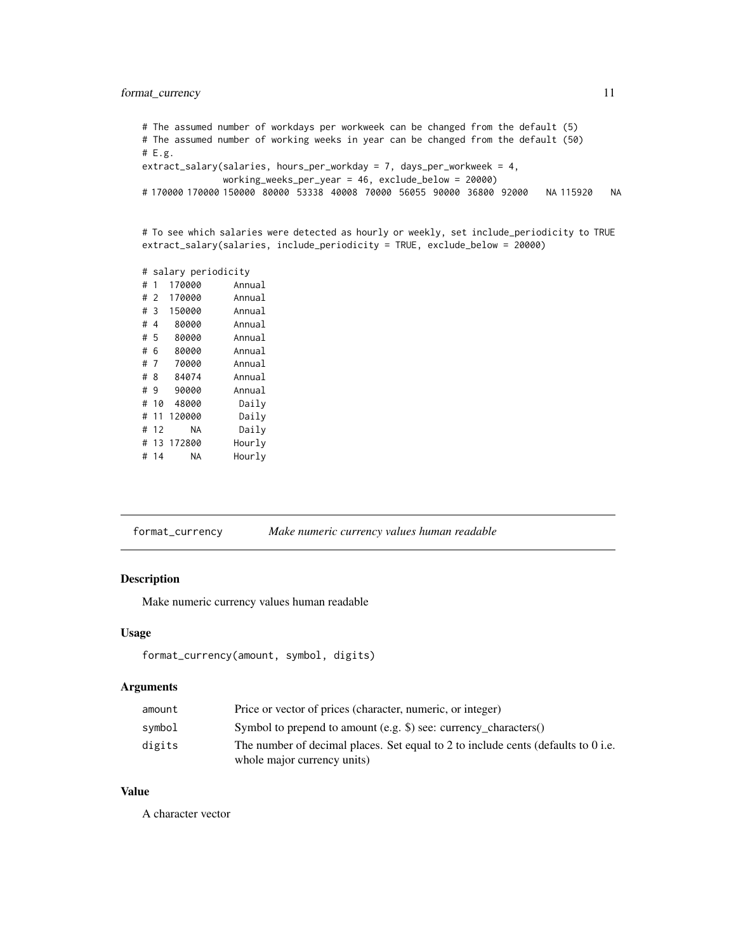## <span id="page-10-0"></span>format\_currency 11

```
# The assumed number of workdays per workweek can be changed from the default (5)
# The assumed number of working weeks in year can be changed from the default (50)
# E.g.
extract_salary(salaries, hours_per_workday = 7, days_per_workweek = 4,
              working_weeks_per_year = 46, exclude_below = 20000)
# 170000 170000 150000 80000 53338 40008 70000 56055 90000 36800 92000 NA 115920 NA
```

```
# To see which salaries were detected as hourly or weekly, set include_periodicity to TRUE
extract_salary(salaries, include_periodicity = TRUE, exclude_below = 20000)
```
# salary periodicity

| # | 1              | 170000 | Annual |
|---|----------------|--------|--------|
| # | - 2            | 170000 | Annual |
| # | 3              | 150000 | Annual |
| # | $\overline{4}$ | 80000  | Annual |
|   | #5             | 80000  | Annual |
| # | 6              | 80000  | Annual |
| # | 7              | 70000  | Annual |
| # | 8              | 84074  | Annual |
| # | 9              | 90000  | Annual |
| # | 10             | 48000  | Daily  |
| # | 11             | 120000 | Daily  |
|   | # 12           | NA     | Daily  |
|   | # 13           | 172800 | Hourly |
| # | 14             | ΝA     | Hourly |

| Make numeric currency values human readable | format_currency |
|---------------------------------------------|-----------------|
|---------------------------------------------|-----------------|

## Description

Make numeric currency values human readable

## Usage

```
format_currency(amount, symbol, digits)
```
## Arguments

| amount | Price or vector of prices (character, numeric, or integer)                        |
|--------|-----------------------------------------------------------------------------------|
| symbol | Symbol to prepend to amount (e.g. \$) see: currency characters()                  |
| digits | The number of decimal places. Set equal to 2 to include cents (defaults to 0 i.e. |
|        | whole major currency units)                                                       |

## Value

A character vector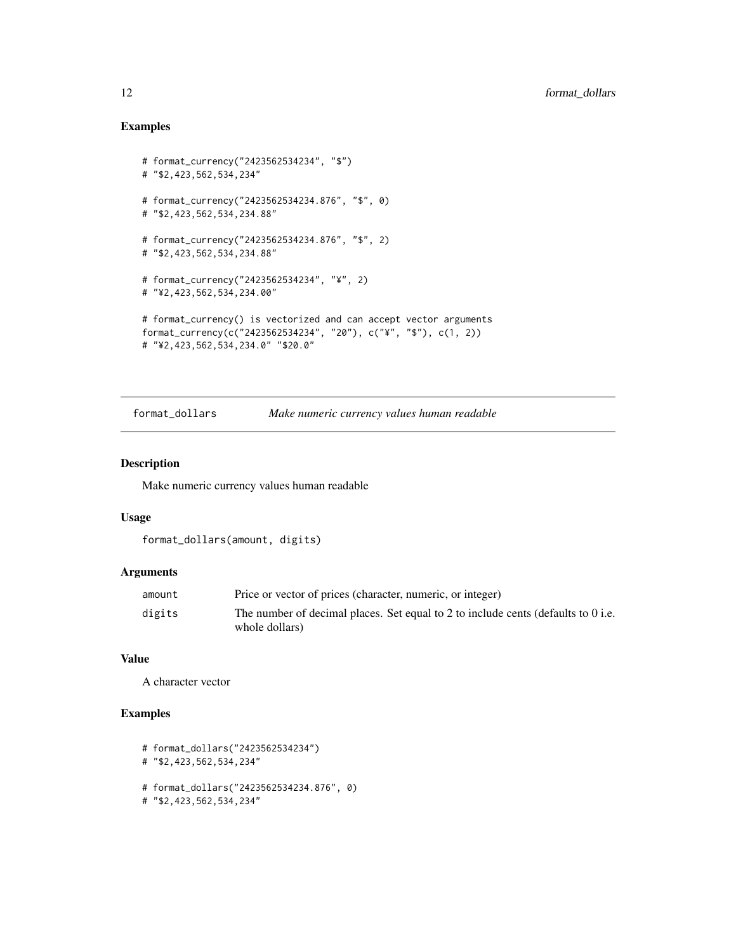## Examples

```
# format_currency("2423562534234", "$")
# "$2,423,562,534,234"
# format_currency("2423562534234.876", "$", 0)
# "$2,423,562,534,234.88"
# format_currency("2423562534234.876", "$", 2)
# "$2,423,562,534,234.88"
# format_currency("2423562534234", "¥", 2)
# "¥2,423,562,534,234.00"
# format_currency() is vectorized and can accept vector arguments
format_currency(c("2423562534234", "20"), c("¥", "$"), c(1, 2))
# "¥2,423,562,534,234.0" "$20.0"
```
format\_dollars *Make numeric currency values human readable*

## Description

Make numeric currency values human readable

#### Usage

```
format_dollars(amount, digits)
```
## Arguments

| amount | Price or vector of prices (character, numeric, or integer)                                          |
|--------|-----------------------------------------------------------------------------------------------------|
| digits | The number of decimal places. Set equal to 2 to include cents (defaults to 0 i.e.<br>whole dollars) |
|        |                                                                                                     |

#### Value

A character vector

## Examples

```
# format_dollars("2423562534234")
```
# "\$2,423,562,534,234"

# format\_dollars("2423562534234.876", 0)

```
# "$2,423,562,534,234"
```
<span id="page-11-0"></span>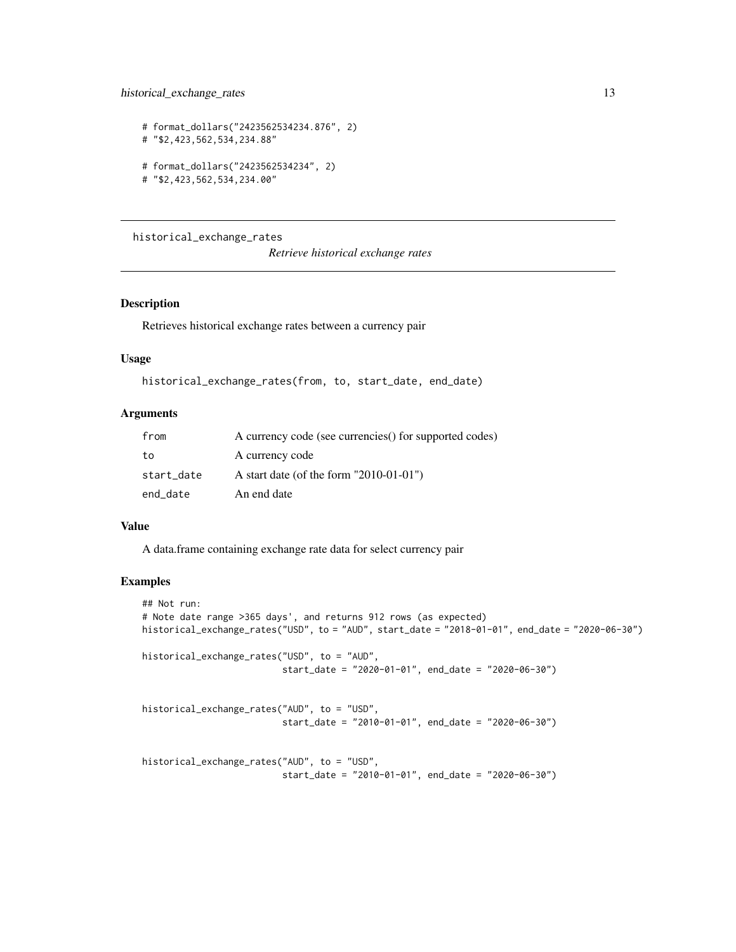```
# format_dollars("2423562534234.876", 2)
# "$2,423,562,534,234.88"
# format_dollars("2423562534234", 2)
# "$2,423,562,534,234.00"
```
historical\_exchange\_rates

*Retrieve historical exchange rates*

## Description

Retrieves historical exchange rates between a currency pair

#### Usage

```
historical_exchange_rates(from, to, start_date, end_date)
```
## Arguments

| from       | A currency code (see currencies) for supported codes) |
|------------|-------------------------------------------------------|
| to         | A currency code                                       |
| start_date | A start date (of the form $"2010-01-01"$ )            |
| end date   | An end date                                           |

#### Value

A data.frame containing exchange rate data for select currency pair

```
## Not run:
# Note date range >365 days', and returns 912 rows (as expected)
historical_exchange_rates("USD", to = "AUD", start_date = "2018-01-01", end_date = "2020-06-30")
historical_exchange_rates("USD", to = "AUD",
                          start_date = "2020-01-01", end_date = "2020-06-30")
historical_exchange_rates("AUD", to = "USD",
                          start_date = "2010-01-01", end_date = "2020-06-30")
historical_exchange_rates("AUD", to = "USD",
                          start_date = "2010-01-01", end_date = "2020-06-30")
```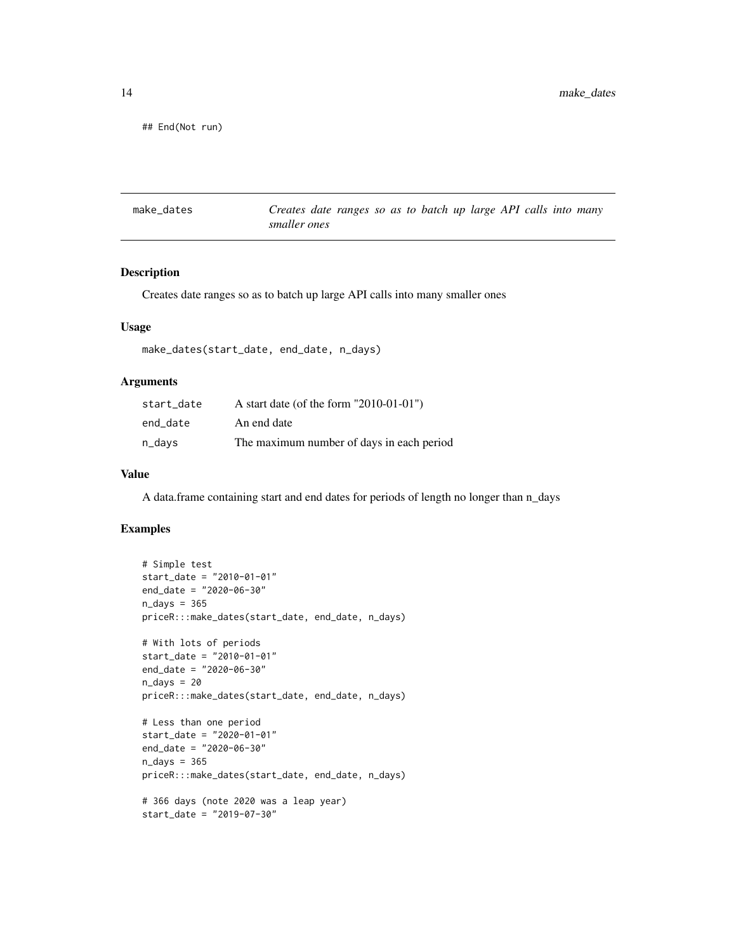<span id="page-13-0"></span>## End(Not run)

make\_dates *Creates date ranges so as to batch up large API calls into many smaller ones*

#### Description

Creates date ranges so as to batch up large API calls into many smaller ones

#### Usage

```
make_dates(start_date, end_date, n_days)
```
#### Arguments

| start date | A start date (of the form $"2010-01-01"$ ) |
|------------|--------------------------------------------|
| end date   | An end date                                |
| n_days     | The maximum number of days in each period  |

#### Value

A data.frame containing start and end dates for periods of length no longer than n\_days

```
# Simple test
start_date = "2010-01-01"
end_date = "2020-06-30"
n\_days = 365priceR:::make_dates(start_date, end_date, n_days)
# With lots of periods
start_date = "2010-01-01"
end_date = "2020-06-30"
n\_days = 20priceR:::make_dates(start_date, end_date, n_days)
# Less than one period
start_date = "2020-01-01"
end_date = "2020-06-30"
n_days = 365
priceR:::make_dates(start_date, end_date, n_days)
# 366 days (note 2020 was a leap year)
start_date = "2019-07-30"
```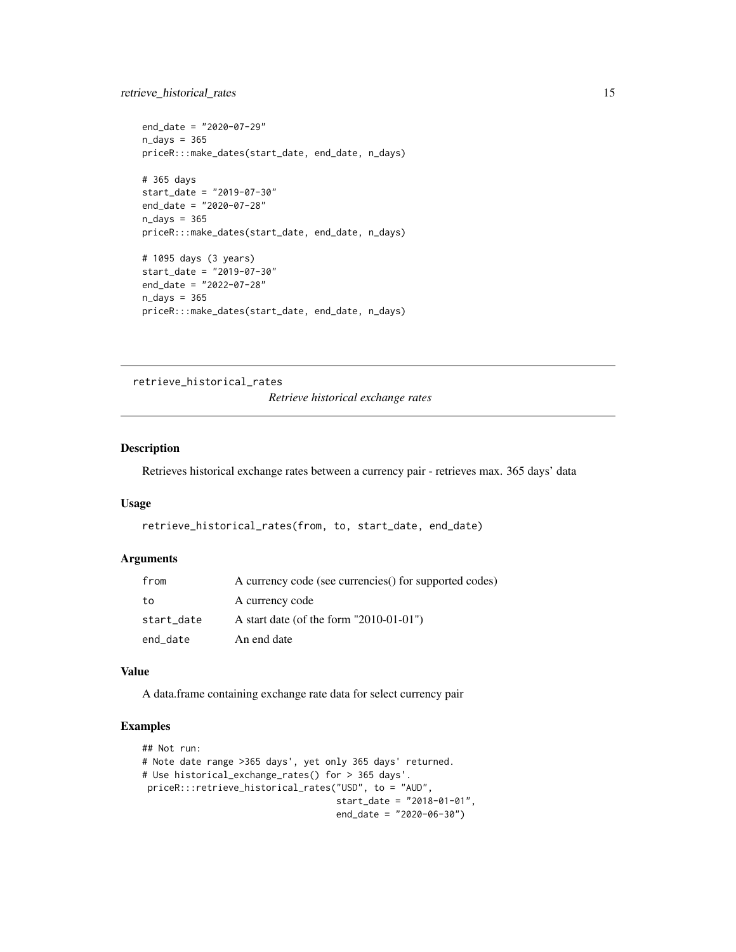## <span id="page-14-0"></span>retrieve\_historical\_rates 15

```
end_date = "2020-07-29"
n\_days = 365priceR:::make_dates(start_date, end_date, n_days)
# 365 days
start_date = "2019-07-30"
end_date = "2020-07-28"
n_days = 365
priceR:::make_dates(start_date, end_date, n_days)
# 1095 days (3 years)
start_date = "2019-07-30"
end_date = "2022-07-28"
n_days = 365
priceR:::make_dates(start_date, end_date, n_days)
```
retrieve\_historical\_rates

*Retrieve historical exchange rates*

## Description

Retrieves historical exchange rates between a currency pair - retrieves max. 365 days' data

#### Usage

```
retrieve_historical_rates(from, to, start_date, end_date)
```
#### Arguments

| from       | A currency code (see currencies) for supported codes) |
|------------|-------------------------------------------------------|
| to         | A currency code                                       |
| start_date | A start date (of the form $"2010-01-01"$ )            |
| end_date   | An end date                                           |

#### Value

A data.frame containing exchange rate data for select currency pair

```
## Not run:
# Note date range >365 days', yet only 365 days' returned.
# Use historical_exchange_rates() for > 365 days'.
priceR:::retrieve_historical_rates("USD", to = "AUD",
                                   start_date = "2018-01-01",
                                   end_date = "2020-06-30")
```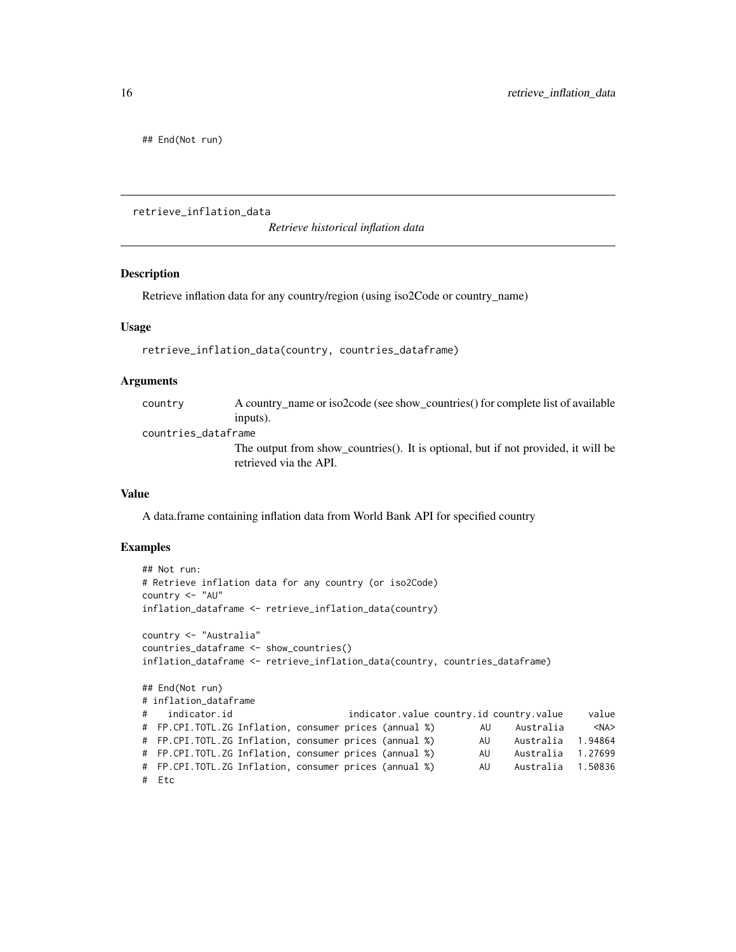<span id="page-15-0"></span>## End(Not run)

retrieve\_inflation\_data

*Retrieve historical inflation data*

#### Description

Retrieve inflation data for any country/region (using iso2Code or country\_name)

#### Usage

retrieve\_inflation\_data(country, countries\_dataframe)

#### Arguments

| country             | A country name or iso2code (see show countries) for complete list of available                              |  |
|---------------------|-------------------------------------------------------------------------------------------------------------|--|
|                     | inputs).                                                                                                    |  |
| countries dataframe |                                                                                                             |  |
|                     | The output from show_countries(). It is optional, but if not provided, it will be<br>retrieved via the API. |  |

#### Value

A data.frame containing inflation data from World Bank API for specified country

```
## Not run:
# Retrieve inflation data for any country (or iso2Code)
country <- "AU"
inflation_dataframe <- retrieve_inflation_data(country)
country <- "Australia"
countries_dataframe <- show_countries()
inflation_dataframe <- retrieve_inflation_data(country, countries_dataframe)
## End(Not run)
# inflation_dataframe
# indicator.id indicator.value country.id country.value value
# FP.CPI.TOTL.ZG Inflation, consumer prices (annual %) AU Australia <NA>
# FP.CPI.TOTL.ZG Inflation, consumer prices (annual %) AU Australia 1.94864
# FP.CPI.TOTL.ZG Inflation, consumer prices (annual %) AU Australia 1.27699
# FP.CPI.TOTL.ZG Inflation, consumer prices (annual %) AU Australia 1.50836
# Etc
```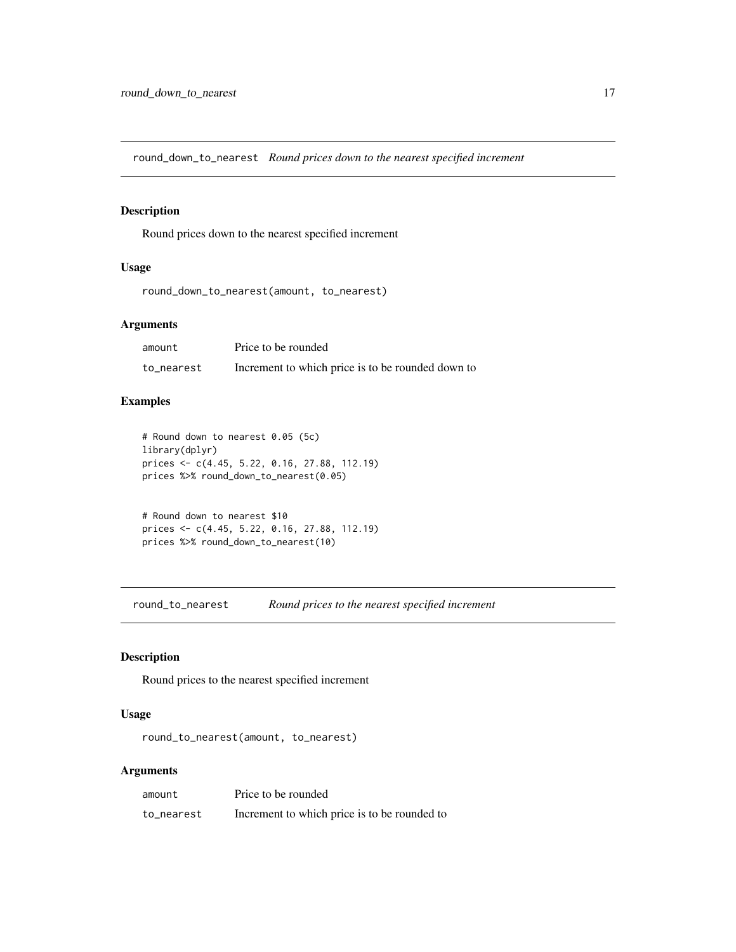<span id="page-16-0"></span>round\_down\_to\_nearest *Round prices down to the nearest specified increment*

## Description

Round prices down to the nearest specified increment

## Usage

```
round_down_to_nearest(amount, to_nearest)
```
## Arguments

| amount     | Price to be rounded                               |
|------------|---------------------------------------------------|
| to nearest | Increment to which price is to be rounded down to |

## Examples

```
# Round down to nearest 0.05 (5c)
library(dplyr)
prices <- c(4.45, 5.22, 0.16, 27.88, 112.19)
prices %>% round_down_to_nearest(0.05)
```

```
# Round down to nearest $10
prices <- c(4.45, 5.22, 0.16, 27.88, 112.19)
prices %>% round_down_to_nearest(10)
```
round\_to\_nearest *Round prices to the nearest specified increment*

## Description

Round prices to the nearest specified increment

## Usage

round\_to\_nearest(amount, to\_nearest)

## Arguments

| amount     | Price to be rounded                          |
|------------|----------------------------------------------|
| to_nearest | Increment to which price is to be rounded to |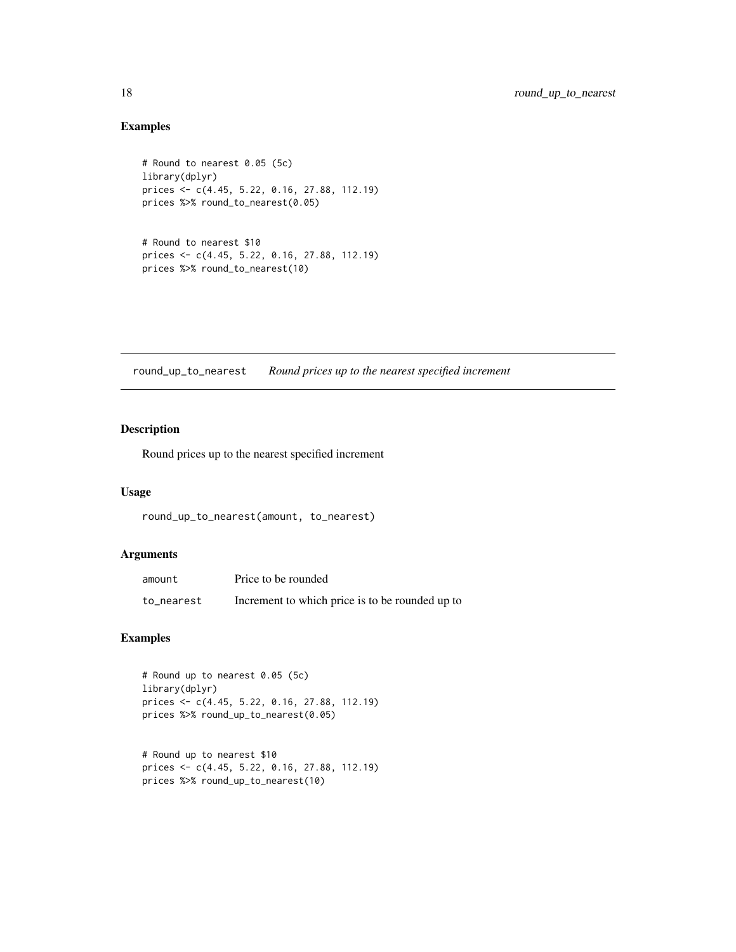## Examples

```
# Round to nearest 0.05 (5c)
library(dplyr)
prices <- c(4.45, 5.22, 0.16, 27.88, 112.19)
prices %>% round_to_nearest(0.05)
```

```
# Round to nearest $10
prices <- c(4.45, 5.22, 0.16, 27.88, 112.19)
prices %>% round_to_nearest(10)
```
round\_up\_to\_nearest *Round prices up to the nearest specified increment*

## Description

Round prices up to the nearest specified increment

#### Usage

round\_up\_to\_nearest(amount, to\_nearest)

#### Arguments

| amount     | Price to be rounded                             |
|------------|-------------------------------------------------|
| to_nearest | Increment to which price is to be rounded up to |

```
# Round up to nearest 0.05 (5c)
library(dplyr)
prices <- c(4.45, 5.22, 0.16, 27.88, 112.19)
prices %>% round_up_to_nearest(0.05)
```

```
# Round up to nearest $10
prices <- c(4.45, 5.22, 0.16, 27.88, 112.19)
prices %>% round_up_to_nearest(10)
```
<span id="page-17-0"></span>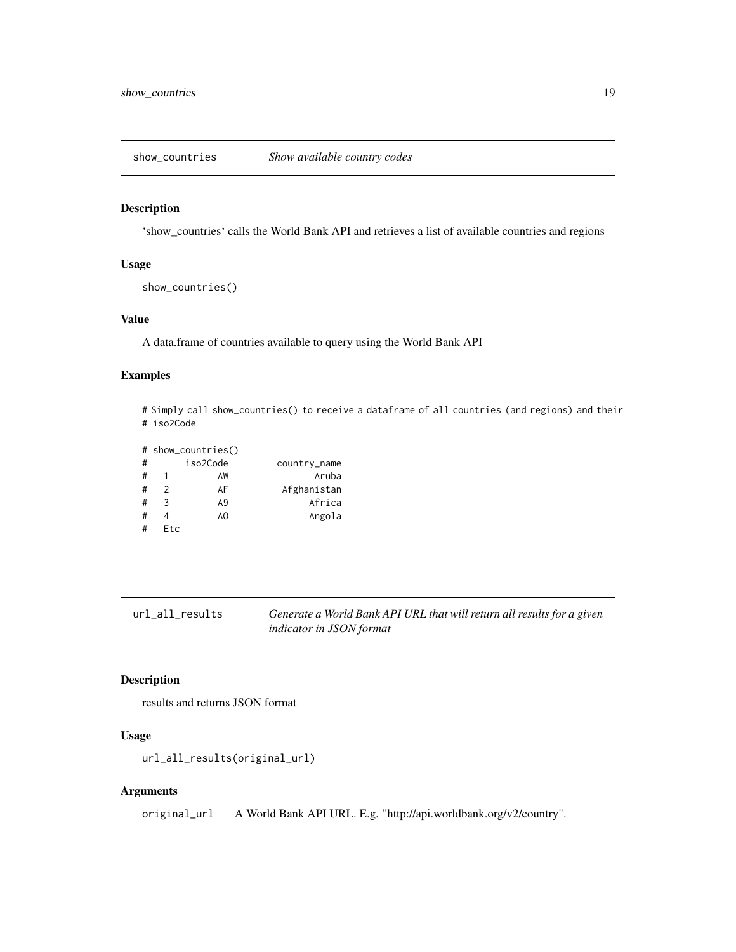<span id="page-18-0"></span>show\_countries *Show available country codes*

#### Description

'show\_countries' calls the World Bank API and retrieves a list of available countries and regions

## Usage

```
show_countries()
```
#### Value

A data.frame of countries available to query using the World Bank API

#### Examples

```
# Simply call show_countries() to receive a dataframe of all countries (and regions) and their
# iso2Code
```

|   |               | # show_countries() |              |
|---|---------------|--------------------|--------------|
| # |               | iso2Code           | country_name |
| # |               | AW                 | Aruba        |
| # | $\mathcal{P}$ | AF                 | Afghanistan  |
| # | २             | A9                 | Africa       |
| # | 4             | AO                 | Angola       |
| # | <b>Etc</b>    |                    |              |

url\_all\_results *Generate a World Bank API URL that will return all results for a given indicator in JSON format*

## Description

results and returns JSON format

## Usage

```
url_all_results(original_url)
```
## Arguments

original\_url A World Bank API URL. E.g. "http://api.worldbank.org/v2/country".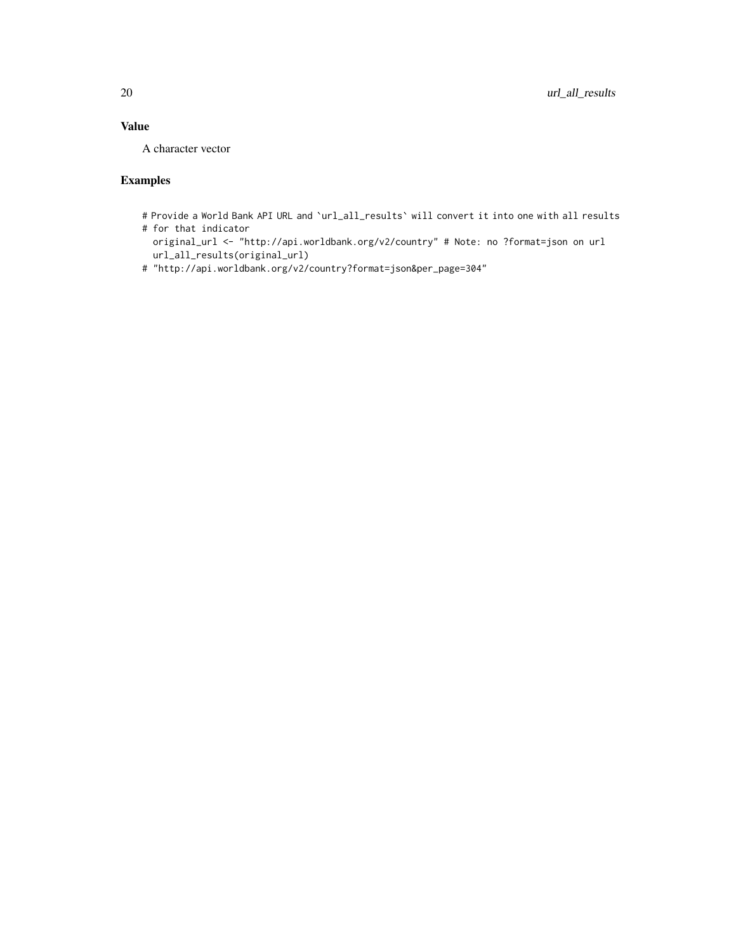## Value

A character vector

- # Provide a World Bank API URL and `url\_all\_results` will convert it into one with all results
- # for that indicator
	- original\_url <- "http://api.worldbank.org/v2/country" # Note: no ?format=json on url url\_all\_results(original\_url)
- # "http://api.worldbank.org/v2/country?format=json&per\_page=304"